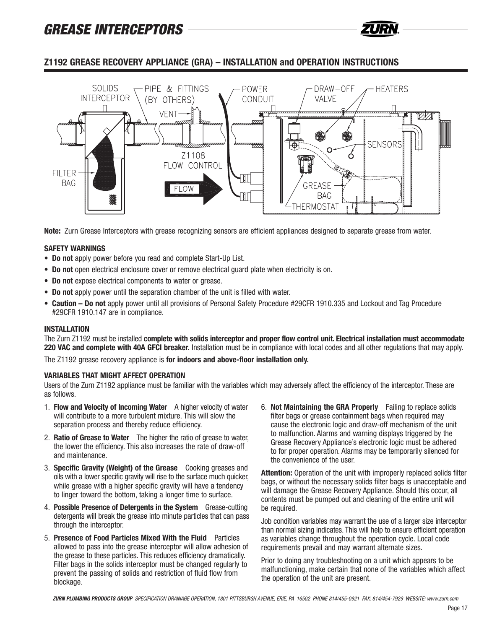

## **Z1192 GREASE RECOVERY APPLIANCE (GRA) – INSTALLATION and OPERATION INSTRUCTIONS**



**Note:** Zurn Grease Interceptors with grease recognizing sensors are efficient appliances designed to separate grease from water.

### **SAFETY WARNINGS**

- **Do not** apply power before you read and complete Start-Up List.
- **Do not** open electrical enclosure cover or remove electrical guard plate when electricity is on.
- **Do not** expose electrical components to water or grease.
- **Do not** apply power until the separation chamber of the unit is filled with water.
- **Caution Do not** apply power until all provisions of Personal Safety Procedure #29CFR 1910.335 and Lockout and Tag Procedure #29CFR 1910.147 are in compliance.

#### **INSTALLATION**

The Zurn Z1192 must be installed **complete with solids interceptor and proper flow control unit. Electrical installation must accommodate 220 VAC and complete with 40A GFCI breaker.** Installation must be in compliance with local codes and all other regulations that may apply.

The Z1192 grease recovery appliance is **for indoors and above-floor installation only.**

#### **VARIABLES THAT MIGHT AFFECT OPERATION**

Users of the Zurn Z1192 appliance must be familiar with the variables which may adversely affect the efficiency of the interceptor. These are as follows.

- 1. **Flow and Velocity of Incoming Water** A higher velocity of water will contribute to a more turbulent mixture. This will slow the separation process and thereby reduce efficiency.
- 2. **Ratio of Grease to Water** The higher the ratio of grease to water, the lower the efficiency. This also increases the rate of draw-off and maintenance.
- 3. **Specific Gravity (Weight) of the Grease** Cooking greases and oils with a lower specific gravity will rise to the surface much quicker, while grease with a higher specific gravity will have a tendency to linger toward the bottom, taking a longer time to surface.
- 4. **Possible Presence of Detergents in the System** Grease-cutting detergents will break the grease into minute particles that can pass through the interceptor.
- 5. **Presence of Food Particles Mixed With the Fluid** Particles allowed to pass into the grease interceptor will allow adhesion of the grease to these particles. This reduces efficiency dramatically. Filter bags in the solids interceptor must be changed regularly to prevent the passing of solids and restriction of fluid flow from blockage.

6. **Not Maintaining the GRA Properly** Failing to replace solids filter bags or grease containment bags when required may cause the electronic logic and draw-off mechanism of the unit to malfunction. Alarms and warning displays triggered by the Grease Recovery Appliance's electronic logic must be adhered to for proper operation. Alarms may be temporarily silenced for the convenience of the user.

**Attention:** Operation of the unit with improperly replaced solids filter bags, or without the necessary solids filter bags is unacceptable and will damage the Grease Recovery Appliance. Should this occur, all contents must be pumped out and cleaning of the entire unit will be required.

Job condition variables may warrant the use of a larger size interceptor than normal sizing indicates. This will help to ensure efficient operation as variables change throughout the operation cycle. Local code requirements prevail and may warrant alternate sizes.

Prior to doing any troubleshooting on a unit which appears to be malfunctioning, make certain that none of the variables which affect the operation of the unit are present.

*ZURN PLUMBING PRODUCTS GROUP SPECIFICATION DRAINAGE OPERATION, 1801 PITTSBURGH AVENUE, ERIE, PA 16502 PHONE 814/455-0921 FAX: 814/454-7929 WEBSITE: www.zurn.com*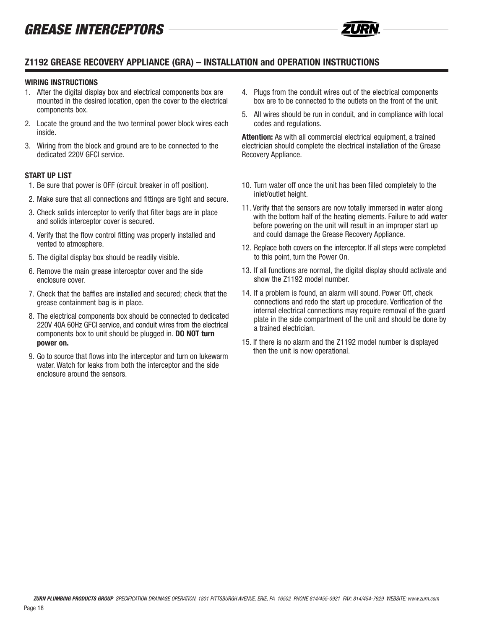

### **WIRING INSTRUCTIONS**

- 1. After the digital display box and electrical components box are mounted in the desired location, open the cover to the electrical components box.
- 2. Locate the ground and the two terminal power block wires each inside.
- 3. Wiring from the block and ground are to be connected to the dedicated 220V GFCI service.

### **START UP LIST**

- 1. Be sure that power is OFF (circuit breaker in off position).
- 2. Make sure that all connections and fittings are tight and secure.
- 3. Check solids interceptor to verify that filter bags are in place and solids interceptor cover is secured.
- 4. Verify that the flow control fitting was properly installed and vented to atmosphere.
- 5. The digital display box should be readily visible.
- 6. Remove the main grease interceptor cover and the side enclosure cover.
- 7. Check that the baffles are installed and secured; check that the grease containment bag is in place.
- 8. The electrical components box should be connected to dedicated 220V 40A 60Hz GFCI service, and conduit wires from the electrical components box to unit should be plugged in. **DO NOT turn power on.**
- 9. Go to source that flows into the interceptor and turn on lukewarm water. Watch for leaks from both the interceptor and the side enclosure around the sensors.
- 4. Plugs from the conduit wires out of the electrical components box are to be connected to the outlets on the front of the unit.
- 5. All wires should be run in conduit, and in compliance with local codes and regulations.

**Attention:** As with all commercial electrical equipment, a trained electrician should complete the electrical installation of the Grease Recovery Appliance.

- 10. Turn water off once the unit has been filled completely to the inlet/outlet height.
- 11. Verify that the sensors are now totally immersed in water along with the bottom half of the heating elements. Failure to add water before powering on the unit will result in an improper start up and could damage the Grease Recovery Appliance.
- 12. Replace both covers on the interceptor. If all steps were completed to this point, turn the Power On.
- 13. If all functions are normal, the digital display should activate and show the Z1192 model number.
- 14. If a problem is found, an alarm will sound. Power Off, check connections and redo the start up procedure. Verification of the internal electrical connections may require removal of the guard plate in the side compartment of the unit and should be done by a trained electrician.
- 15. If there is no alarm and the Z1192 model number is displayed then the unit is now operational.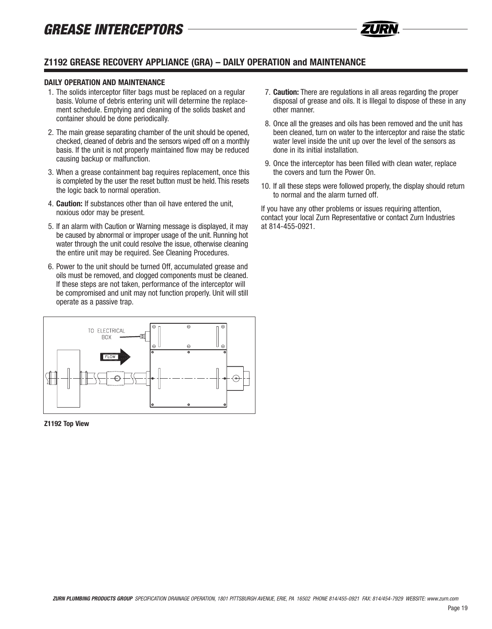

#### **DAILY OPERATION AND MAINTENANCE**

- 1. The solids interceptor filter bags must be replaced on a regular basis. Volume of debris entering unit will determine the replacement schedule. Emptying and cleaning of the solids basket and container should be done periodically.
- 2. The main grease separating chamber of the unit should be opened, checked, cleaned of debris and the sensors wiped off on a monthly basis. If the unit is not properly maintained flow may be reduced causing backup or malfunction.
- 3. When a grease containment bag requires replacement, once this is completed by the user the reset button must be held. This resets the logic back to normal operation.
- 4. **Caution:** If substances other than oil have entered the unit, noxious odor may be present.
- 5. If an alarm with Caution or Warning message is displayed, it may be caused by abnormal or improper usage of the unit. Running hot water through the unit could resolve the issue, otherwise cleaning the entire unit may be required. See Cleaning Procedures.
- 6. Power to the unit should be turned Off, accumulated grease and oils must be removed, and clogged components must be cleaned. If these steps are not taken, performance of the interceptor will be compromised and unit may not function properly. Unit will still operate as a passive trap.



**Z1192 Top View**

- 7. **Caution:** There are regulations in all areas regarding the proper disposal of grease and oils. It is Illegal to dispose of these in any other manner.
- 8. Once all the greases and oils has been removed and the unit has been cleaned, turn on water to the interceptor and raise the static water level inside the unit up over the level of the sensors as done in its initial installation.
- 9. Once the interceptor has been filled with clean water, replace the covers and turn the Power On.
- 10. If all these steps were followed properly, the display should return to normal and the alarm turned off.

If you have any other problems or issues requiring attention, contact your local Zurn Representative or contact Zurn Industries at 814-455-0921.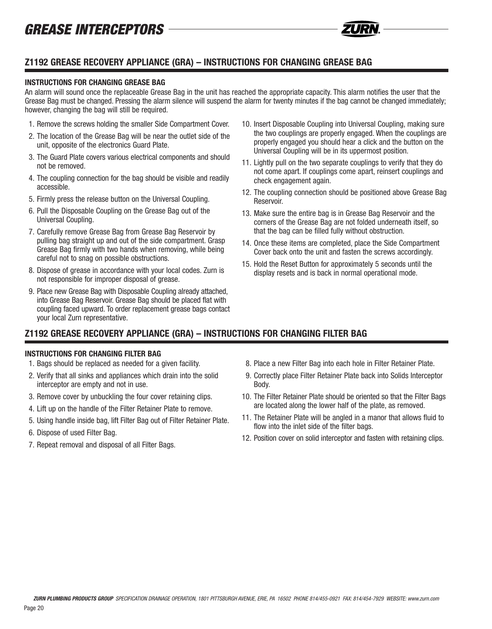## **Z1192 GREASE RECOVERY APPLIANCE (GRA) – INSTRUCTIONS FOR CHANGING GREASE BAG**

### **INSTRUCTIONS FOR CHANGING GREASE BAG**

An alarm will sound once the replaceable Grease Bag in the unit has reached the appropriate capacity. This alarm notifies the user that the Grease Bag must be changed. Pressing the alarm silence will suspend the alarm for twenty minutes if the bag cannot be changed immediately; however, changing the bag will still be required.

- 1. Remove the screws holding the smaller Side Compartment Cover.
- 2. The location of the Grease Bag will be near the outlet side of the unit, opposite of the electronics Guard Plate.
- 3. The Guard Plate covers various electrical components and should not be removed.
- 4. The coupling connection for the bag should be visible and readily accessible.
- 5. Firmly press the release button on the Universal Coupling.
- 6. Pull the Disposable Coupling on the Grease Bag out of the Universal Coupling.
- 7. Carefully remove Grease Bag from Grease Bag Reservoir by pulling bag straight up and out of the side compartment. Grasp Grease Bag firmly with two hands when removing, while being careful not to snag on possible obstructions.
- 8. Dispose of grease in accordance with your local codes. Zurn is not responsible for improper disposal of grease.
- 9. Place new Grease Bag with Disposable Coupling already attached, into Grease Bag Reservoir. Grease Bag should be placed flat with coupling faced upward. To order replacement grease bags contact your local Zurn representative.
- 10. Insert Disposable Coupling into Universal Coupling, making sure the two couplings are properly engaged. When the couplings are properly engaged you should hear a click and the button on the Universal Coupling will be in its uppermost position.
- 11. Lightly pull on the two separate couplings to verify that they do not come apart. If couplings come apart, reinsert couplings and check engagement again.
- 12. The coupling connection should be positioned above Grease Bag Reservoir.
- 13. Make sure the entire bag is in Grease Bag Reservoir and the corners of the Grease Bag are not folded underneath itself, so that the bag can be filled fully without obstruction.
- 14. Once these items are completed, place the Side Compartment Cover back onto the unit and fasten the screws accordingly.
- 15. Hold the Reset Button for approximately 5 seconds until the display resets and is back in normal operational mode.

## **Z1192 GREASE RECOVERY APPLIANCE (GRA) – INSTRUCTIONS FOR CHANGING FILTER BAG**

### **INSTRUCTIONS FOR CHANGING FILTER BAG**

- 1. Bags should be replaced as needed for a given facility.
- 2. Verify that all sinks and appliances which drain into the solid interceptor are empty and not in use.
- 3. Remove cover by unbuckling the four cover retaining clips.
- 4. Lift up on the handle of the Filter Retainer Plate to remove.
- 5. Using handle inside bag, lift Filter Bag out of Filter Retainer Plate.
- 6. Dispose of used Filter Bag.
- 7. Repeat removal and disposal of all Filter Bags.
- 8. Place a new Filter Bag into each hole in Filter Retainer Plate.
- 9. Correctly place Filter Retainer Plate back into Solids Interceptor Body.
- 10. The Filter Retainer Plate should be oriented so that the Filter Bags are located along the lower half of the plate, as removed.
- 11. The Retainer Plate will be angled in a manor that allows fluid to flow into the inlet side of the filter bags.
- 12. Position cover on solid interceptor and fasten with retaining clips.